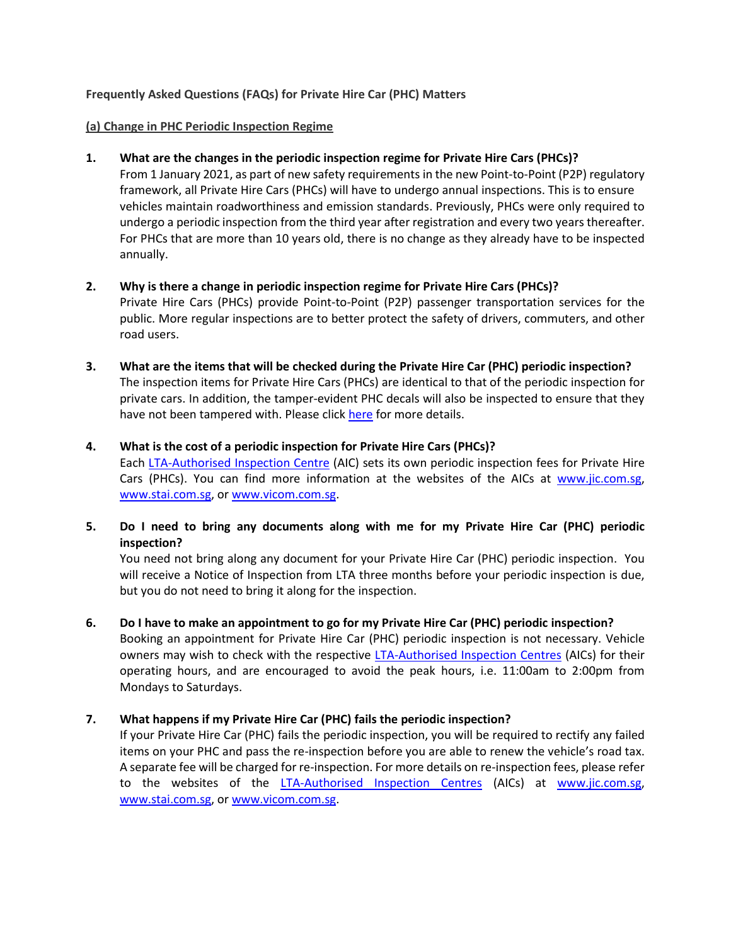### **Frequently Asked Questions (FAQs) for Private Hire Car (PHC) Matters**

#### **(a) Change in PHC Periodic Inspection Regime**

## **1. What are the changes in the periodic inspection regime for Private Hire Cars (PHCs)?**

From 1 January 2021, as part of new safety requirements in the new Point-to-Point (P2P) regulatory framework, all Private Hire Cars (PHCs) will have to undergo annual inspections. This is to ensure vehicles maintain roadworthiness and emission standards. Previously, PHCs were only required to undergo a periodic inspection from the third year after registration and every two years thereafter. For PHCs that are more than 10 years old, there is no change as they already have to be inspected annually.

## **2. Why is there a change in periodic inspection regime for Private Hire Cars (PHCs)?**

Private Hire Cars (PHCs) provide Point-to-Point (P2P) passenger transportation services for the public. More regular inspections are to better protect the safety of drivers, commuters, and other road users.

**3. What are the items that will be checked during the Private Hire Car (PHC) periodic inspection?** The inspection items for Private Hire Cars (PHCs) are identical to that of the periodic inspection for private cars. In addition, the tamper-evident PHC decals will also be inspected to ensure that they have not been tampered with. Please click [here](https://onemotoring.lta.gov.sg/content/onemotoring/home/owning/ongoing-car-costs/inspection.html#List_of_items) for more details.

## **4. What is the cost of a periodic inspection for Private Hire Cars (PHCs)?**

Each [LTA-Authorised Inspection Centre](https://onemotoring.lta.gov.sg/content/onemotoring/home/lta-authorised-vehicle-inspection-centres.html) (AIC) sets its own periodic inspection fees for Private Hire Cars (PHCs). You can find more information at the websites of the AICs at www.jic.com.sg, www.stai.com.sg, or [www.vicom.com.sg.](file:///C:/Users/LTA_tayhs/AppData/Local/Microsoft/Windows/INetCache/Content.Outlook/JI57G99K/www.vicom.com.sg)

# **5. Do I need to bring any documents along with me for my Private Hire Car (PHC) periodic inspection?**

You need not bring along any document for your Private Hire Car (PHC) periodic inspection. You will receive a Notice of Inspection from LTA three months before your periodic inspection is due, but you do not need to bring it along for the inspection.

# **6. Do I have to make an appointment to go for my Private Hire Car (PHC) periodic inspection?**

Booking an appointment for Private Hire Car (PHC) periodic inspection is not necessary. Vehicle owners may wish to check with the respective [LTA-Authorised Inspection Centres](https://onemotoring.lta.gov.sg/content/onemotoring/home/lta-authorised-vehicle-inspection-centres.html) (AICs) for their operating hours, and are encouraged to avoid the peak hours, i.e. 11:00am to 2:00pm from Mondays to Saturdays.

# **7. What happens if my Private Hire Car (PHC) fails the periodic inspection?**

If your Private Hire Car (PHC) fails the periodic inspection, you will be required to rectify any failed items on your PHC and pass the re-inspection before you are able to renew the vehicle's road tax. A separate fee will be charged for re-inspection. For more details on re-inspection fees, please refer to the websites of the [LTA-Authorised Inspection Centres](https://onemotoring.lta.gov.sg/content/onemotoring/home/lta-authorised-vehicle-inspection-centres.html) (AICs) at www.jic.com.sg, www.stai.com.sg, or [www.vicom.com.sg.](file:///C:/Users/LTA_tayhs/AppData/Local/Microsoft/Windows/INetCache/Content.Outlook/JI57G99K/www.vicom.com.sg)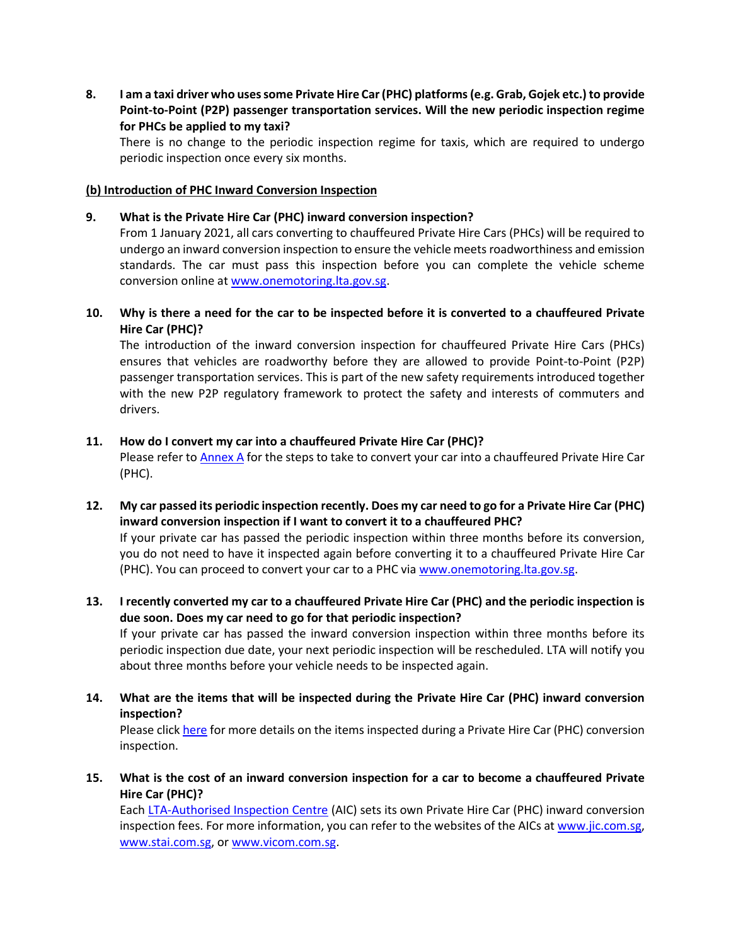**8. I am a taxi driver who uses some Private Hire Car (PHC) platforms (e.g. Grab, Gojek etc.) to provide Point-to-Point (P2P) passenger transportation services. Will the new periodic inspection regime for PHCs be applied to my taxi?**

There is no change to the periodic inspection regime for taxis, which are required to undergo periodic inspection once every six months.

#### **(b) Introduction of PHC Inward Conversion Inspection**

#### **9. What is the Private Hire Car (PHC) inward conversion inspection?**

From 1 January 2021, all cars converting to chauffeured Private Hire Cars (PHCs) will be required to undergo an inward conversion inspection to ensure the vehicle meets roadworthiness and emission standards. The car must pass this inspection before you can complete the vehicle scheme conversion online a[t www.onemotoring.lta.gov.sg.](http://www.onemotoring.lta.gov.sg/)

## **10. Why is there a need for the car to be inspected before it is converted to a chauffeured Private Hire Car (PHC)?**

The introduction of the inward conversion inspection for chauffeured Private Hire Cars (PHCs) ensures that vehicles are roadworthy before they are allowed to provide Point-to-Point (P2P) passenger transportation services. This is part of the new safety requirements introduced together with the new P2P regulatory framework to protect the safety and interests of commuters and drivers.

#### **11. How do I convert my car into a chauffeured Private Hire Car (PHC)?**

Please refer to **Annex A** for the steps to take to convert your car into a chauffeured Private Hire Car (PHC).

**12. My car passed its periodic inspection recently. Does my car need to go for a Private Hire Car (PHC) inward conversion inspection if I want to convert it to a chauffeured PHC?**

If your private car has passed the periodic inspection within three months before its conversion, you do not need to have it inspected again before converting it to a chauffeured Private Hire Car (PHC). You can proceed to convert your car to a PHC via [www.onemotoring.lta.gov.sg.](http://www.onemotoring.lta.gov.sg/)

## **13. I recently converted my car to a chauffeured Private Hire Car (PHC) and the periodic inspection is due soon. Does my car need to go for that periodic inspection?**

If your private car has passed the inward conversion inspection within three months before its periodic inspection due date, your next periodic inspection will be rescheduled. LTA will notify you about three months before your vehicle needs to be inspected again.

**14. What are the items that will be inspected during the Private Hire Car (PHC) inward conversion inspection?**

Please click [here](https://onemotoring.lta.gov.sg/content/onemotoring/home/owning/ongoing-car-costs/inspection.html#List_of_items) for more details on the items inspected during a Private Hire Car (PHC) conversion inspection.

**15. What is the cost of an inward conversion inspection for a car to become a chauffeured Private Hire Car (PHC)?**

Each [LTA-Authorised Inspection Centre](https://onemotoring.lta.gov.sg/content/onemotoring/home/lta-authorised-vehicle-inspection-centres.html) (AIC) sets its own Private Hire Car (PHC) inward conversion inspection fees. For more information, you can refer to the websites of the AICs at www.jic.com.sg, www.stai.com.sg, or [www.vicom.com.sg.](file:///C:/Users/LTA_tayhs/AppData/Local/Microsoft/Windows/INetCache/Content.Outlook/JI57G99K/www.vicom.com.sg)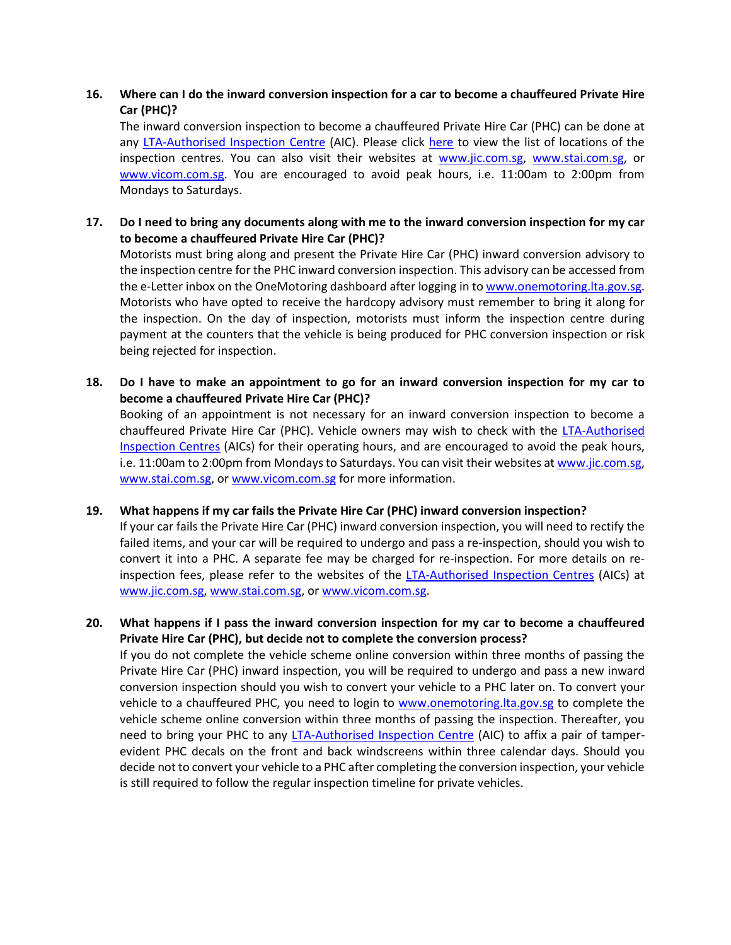## **16. Where can I do the inward conversion inspection for a car to become a chauffeured Private Hire Car (PHC)?**

The inward conversion inspection to become a chauffeured Private Hire Car (PHC) can be done at any [LTA-Authorised Inspection Centre](https://onemotoring.lta.gov.sg/content/onemotoring/home/lta-authorised-vehicle-inspection-centres.html) (AIC). Please click [here](https://onemotoring.lta.gov.sg/content/onemotoring/home/lta-authorised-vehicle-inspection-centres.html) to view the list of locations of the inspection centres. You can also visit their websites at www.jic.com.sg, www.stai.com.sg, or [www.vicom.com.sg.](file:///C:/Users/LTA_tayhs/AppData/Local/Microsoft/Windows/INetCache/Content.Outlook/JI57G99K/www.vicom.com.sg) You are encouraged to avoid peak hours, i.e. 11:00am to 2:00pm from Mondays to Saturdays.

## **17. Do I need to bring any documents along with me to the inward conversion inspection for my car to become a chauffeured Private Hire Car (PHC)?**

Motorists must bring along and present the Private Hire Car (PHC) inward conversion advisory to the inspection centre for the PHC inward conversion inspection. This advisory can be accessed from the e-Letter inbox on the OneMotoring dashboard after logging in t[o www.onemotoring.lta.gov.sg.](http://www.onemotoring.lta.gov.sg/) Motorists who have opted to receive the hardcopy advisory must remember to bring it along for the inspection. On the day of inspection, motorists must inform the inspection centre during payment at the counters that the vehicle is being produced for PHC conversion inspection or risk being rejected for inspection.

**18. Do I have to make an appointment to go for an inward conversion inspection for my car to become a chauffeured Private Hire Car (PHC)?**

Booking of an appointment is not necessary for an inward conversion inspection to become a chauffeured Private Hire Car (PHC). Vehicle owners may wish to check with the [LTA-Authorised](https://onemotoring.lta.gov.sg/content/onemotoring/home/lta-authorised-vehicle-inspection-centres.html)  [Inspection Centres](https://onemotoring.lta.gov.sg/content/onemotoring/home/lta-authorised-vehicle-inspection-centres.html) (AICs) for their operating hours, and are encouraged to avoid the peak hours, i.e. 11:00am to 2:00pm from Mondays to Saturdays. You can visit their websites at www.jic.com.sg, www.stai.com.sg, or [www.vicom.com.sg](file:///C:/Users/LTA_tayhs/AppData/Local/Microsoft/Windows/INetCache/Content.Outlook/JI57G99K/www.vicom.com.sg) for more information.

#### **19. What happens if my car fails the Private Hire Car (PHC) inward conversion inspection?**

If your car fails the Private Hire Car (PHC) inward conversion inspection, you will need to rectify the failed items, and your car will be required to undergo and pass a re-inspection, should you wish to convert it into a PHC. A separate fee may be charged for re-inspection. For more details on reinspection fees, please refer to the websites of the [LTA-Authorised Inspection Centres](https://onemotoring.lta.gov.sg/content/onemotoring/home/lta-authorised-vehicle-inspection-centres.html) (AICs) at www.jic.com.sg, www.stai.com.sg, or [www.vicom.com.sg.](file:///C:/Users/LTA_tayhs/AppData/Local/Microsoft/Windows/INetCache/Content.Outlook/JI57G99K/www.vicom.com.sg)

# **20. What happens if I pass the inward conversion inspection for my car to become a chauffeured Private Hire Car (PHC), but decide not to complete the conversion process?**

If you do not complete the vehicle scheme online conversion within three months of passing the Private Hire Car (PHC) inward inspection, you will be required to undergo and pass a new inward conversion inspection should you wish to convert your vehicle to a PHC later on. To convert your vehicle to a chauffeured PHC, you need to login to [www.onemotoring.lta.gov.sg](http://www.onemotoring.lta.gov.sg/) to complete the vehicle scheme online conversion within three months of passing the inspection. Thereafter, you need to bring your PHC to any [LTA-Authorised Inspection Centre](https://onemotoring.lta.gov.sg/content/onemotoring/home/lta-authorised-vehicle-inspection-centres.html) (AIC) to affix a pair of tamperevident PHC decals on the front and back windscreens within three calendar days. Should you decide not to convert your vehicle to a PHC after completing the conversion inspection, your vehicle is still required to follow the regular inspection timeline for private vehicles.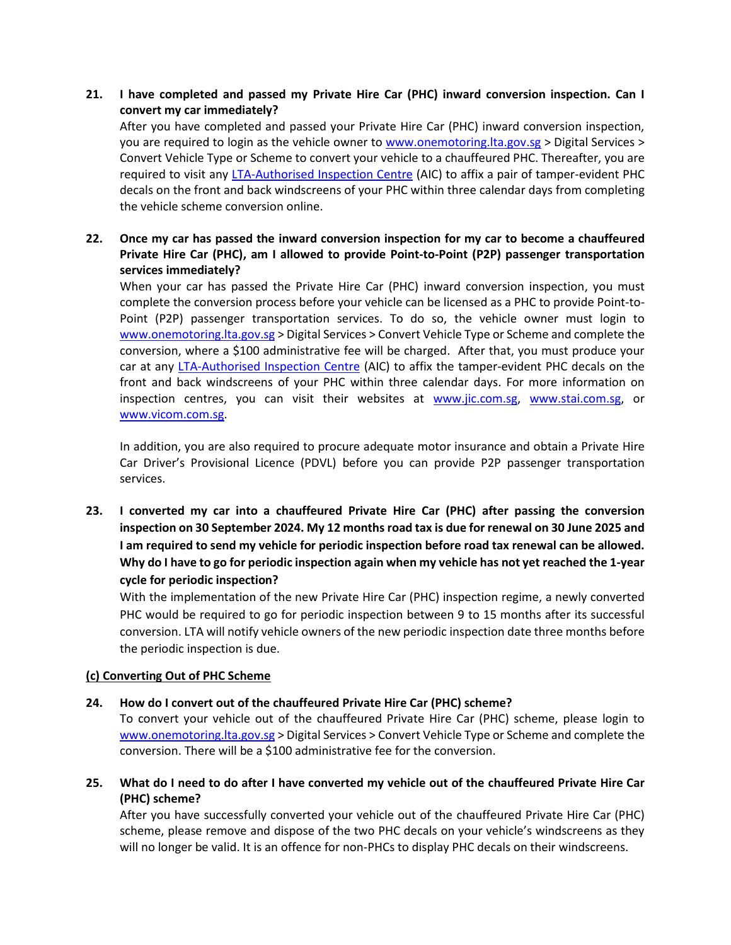## **21. I have completed and passed my Private Hire Car (PHC) inward conversion inspection. Can I convert my car immediately?**

After you have completed and passed your Private Hire Car (PHC) inward conversion inspection, you are required to login as the vehicle owner to [www.onemotoring.lta.gov.sg](http://www.onemotoring.lta.gov.sg/) > Digital Services > Convert Vehicle Type or Scheme to convert your vehicle to a chauffeured PHC. Thereafter, you are required to visit any [LTA-Authorised Inspection Centre](https://onemotoring.lta.gov.sg/content/onemotoring/home/lta-authorised-vehicle-inspection-centres.html) (AIC) to affix a pair of tamper-evident PHC decals on the front and back windscreens of your PHC within three calendar days from completing the vehicle scheme conversion online.

# **22. Once my car has passed the inward conversion inspection for my car to become a chauffeured Private Hire Car (PHC), am I allowed to provide Point-to-Point (P2P) passenger transportation services immediately?**

When your car has passed the Private Hire Car (PHC) inward conversion inspection, you must complete the conversion process before your vehicle can be licensed as a PHC to provide Point-to-Point (P2P) passenger transportation services. To do so, the vehicle owner must login to [www.onemotoring.lta.gov.sg](http://www.onemotoring.lta.gov.sg/) > Digital Services > Convert Vehicle Type or Scheme and complete the conversion, where a \$100 administrative fee will be charged. After that, you must produce your car at any [LTA-Authorised Inspection Centre](https://onemotoring.lta.gov.sg/content/onemotoring/home/lta-authorised-vehicle-inspection-centres.html) (AIC) to affix the tamper-evident PHC decals on the front and back windscreens of your PHC within three calendar days. For more information on inspection centres, you can visit their websites at www.jic.com.sg, www.stai.com.sg, or [www.vicom.com.sg.](file:///C:/Users/LTA_tayhs/AppData/Local/Microsoft/Windows/INetCache/Content.Outlook/JI57G99K/www.vicom.com.sg)

In addition, you are also required to procure adequate motor insurance and obtain a Private Hire Car Driver's Provisional Licence (PDVL) before you can provide P2P passenger transportation services.

**23. I converted my car into a chauffeured Private Hire Car (PHC) after passing the conversion inspection on 30 September 2024. My 12 months road tax is due for renewal on 30 June 2025 and I am required to send my vehicle for periodic inspection before road tax renewal can be allowed. Why do I have to go for periodic inspection again when my vehicle has not yet reached the 1-year cycle for periodic inspection?**

With the implementation of the new Private Hire Car (PHC) inspection regime, a newly converted PHC would be required to go for periodic inspection between 9 to 15 months after its successful conversion. LTA will notify vehicle owners of the new periodic inspection date three months before the periodic inspection is due.

#### **(c) Converting Out of PHC Scheme**

#### **24. How do I convert out of the chauffeured Private Hire Car (PHC) scheme?**

To convert your vehicle out of the chauffeured Private Hire Car (PHC) scheme, please login to [www.onemotoring.lta.gov.sg](http://www.onemotoring.lta.gov.sg/) > Digital Services > Convert Vehicle Type or Scheme and complete the conversion. There will be a \$100 administrative fee for the conversion.

**25. What do I need to do after I have converted my vehicle out of the chauffeured Private Hire Car (PHC) scheme?**

After you have successfully converted your vehicle out of the chauffeured Private Hire Car (PHC) scheme, please remove and dispose of the two PHC decals on your vehicle's windscreens as they will no longer be valid. It is an offence for non-PHCs to display PHC decals on their windscreens.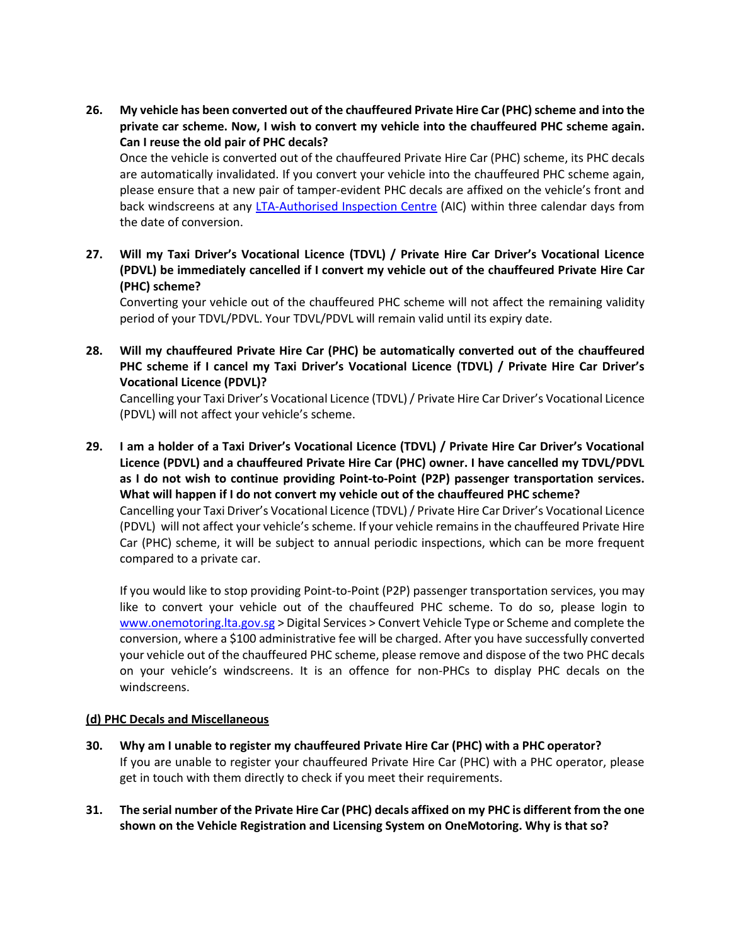**26. My vehicle has been converted out of the chauffeured Private Hire Car (PHC) scheme and into the private car scheme. Now, I wish to convert my vehicle into the chauffeured PHC scheme again. Can I reuse the old pair of PHC decals?**

Once the vehicle is converted out of the chauffeured Private Hire Car (PHC) scheme, its PHC decals are automatically invalidated. If you convert your vehicle into the chauffeured PHC scheme again, please ensure that a new pair of tamper-evident PHC decals are affixed on the vehicle's front and back windscreens at any [LTA-Authorised Inspection Centre](https://onemotoring.lta.gov.sg/content/onemotoring/home/lta-authorised-vehicle-inspection-centres.html) (AIC) within three calendar days from the date of conversion.

**27. Will my Taxi Driver's Vocational Licence (TDVL) / Private Hire Car Driver's Vocational Licence (PDVL) be immediately cancelled if I convert my vehicle out of the chauffeured Private Hire Car (PHC) scheme?**

Converting your vehicle out of the chauffeured PHC scheme will not affect the remaining validity period of your TDVL/PDVL. Your TDVL/PDVL will remain valid until its expiry date.

**28. Will my chauffeured Private Hire Car (PHC) be automatically converted out of the chauffeured PHC scheme if I cancel my Taxi Driver's Vocational Licence (TDVL) / Private Hire Car Driver's Vocational Licence (PDVL)?**

Cancelling your Taxi Driver's Vocational Licence (TDVL) / Private Hire Car Driver's Vocational Licence (PDVL) will not affect your vehicle's scheme.

**29. I am a holder of a Taxi Driver's Vocational Licence (TDVL) / Private Hire Car Driver's Vocational Licence (PDVL) and a chauffeured Private Hire Car (PHC) owner. I have cancelled my TDVL/PDVL as I do not wish to continue providing Point-to-Point (P2P) passenger transportation services. What will happen if I do not convert my vehicle out of the chauffeured PHC scheme?** Cancelling your Taxi Driver's Vocational Licence (TDVL) / Private Hire Car Driver's Vocational Licence (PDVL) will not affect your vehicle's scheme. If your vehicle remains in the chauffeured Private Hire Car (PHC) scheme, it will be subject to annual periodic inspections, which can be more frequent compared to a private car.

If you would like to stop providing Point-to-Point (P2P) passenger transportation services, you may like to convert your vehicle out of the chauffeured PHC scheme. To do so, please login to [www.onemotoring.lta.gov.sg](http://www.onemotoring.lta.gov.sg/) > Digital Services > Convert Vehicle Type or Scheme and complete the conversion, where a \$100 administrative fee will be charged. After you have successfully converted your vehicle out of the chauffeured PHC scheme, please remove and dispose of the two PHC decals on your vehicle's windscreens. It is an offence for non-PHCs to display PHC decals on the windscreens.

#### **(d) PHC Decals and Miscellaneous**

- **30. Why am I unable to register my chauffeured Private Hire Car (PHC) with a PHC operator?** If you are unable to register your chauffeured Private Hire Car (PHC) with a PHC operator, please get in touch with them directly to check if you meet their requirements.
- **31. The serial number of the Private Hire Car (PHC) decals affixed on my PHC is different from the one shown on the Vehicle Registration and Licensing System on OneMotoring. Why is that so?**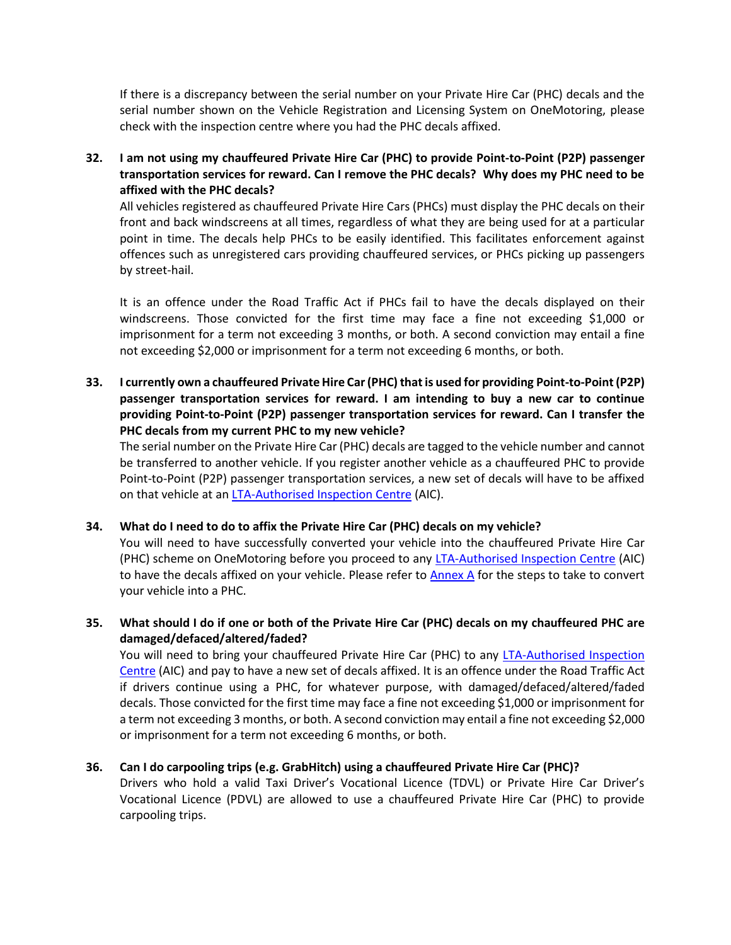If there is a discrepancy between the serial number on your Private Hire Car (PHC) decals and the serial number shown on the Vehicle Registration and Licensing System on OneMotoring, please check with the inspection centre where you had the PHC decals affixed.

**32. I am not using my chauffeured Private Hire Car (PHC) to provide Point-to-Point (P2P) passenger transportation services for reward. Can I remove the PHC decals? Why does my PHC need to be affixed with the PHC decals?** 

All vehicles registered as chauffeured Private Hire Cars (PHCs) must display the PHC decals on their front and back windscreens at all times, regardless of what they are being used for at a particular point in time. The decals help PHCs to be easily identified. This facilitates enforcement against offences such as unregistered cars providing chauffeured services, or PHCs picking up passengers by street-hail.

It is an offence under the Road Traffic Act if PHCs fail to have the decals displayed on their windscreens. Those convicted for the first time may face a fine not exceeding \$1,000 or imprisonment for a term not exceeding 3 months, or both. A second conviction may entail a fine not exceeding \$2,000 or imprisonment for a term not exceeding 6 months, or both.

**33. I currently own a chauffeured Private Hire Car (PHC) that is used for providing Point-to-Point (P2P) passenger transportation services for reward. I am intending to buy a new car to continue providing Point-to-Point (P2P) passenger transportation services for reward. Can I transfer the PHC decals from my current PHC to my new vehicle?**

The serial number on the Private Hire Car (PHC) decals are tagged to the vehicle number and cannot be transferred to another vehicle. If you register another vehicle as a chauffeured PHC to provide Point-to-Point (P2P) passenger transportation services, a new set of decals will have to be affixed on that vehicle at an **LTA-Authorised Inspection Centre** (AIC).

#### **34. What do I need to do to affix the Private Hire Car (PHC) decals on my vehicle?**

You will need to have successfully converted your vehicle into the chauffeured Private Hire Car (PHC) scheme on OneMotoring before you proceed to an[y LTA-Authorised Inspection Centre](https://onemotoring.lta.gov.sg/content/onemotoring/home/lta-authorised-vehicle-inspection-centres.html) (AIC) to have the decals affixed on your vehicle. Please refer to  $\Delta$ nnex  $\Delta$  for the steps to take to convert your vehicle into a PHC.

**35. What should I do if one or both of the Private Hire Car (PHC) decals on my chauffeured PHC are damaged/defaced/altered/faded?**

You will need to bring your chauffeured Private Hire Car (PHC) to any [LTA-Authorised Inspection](https://onemotoring.lta.gov.sg/content/onemotoring/home/lta-authorised-vehicle-inspection-centres.html)  [Centre](https://onemotoring.lta.gov.sg/content/onemotoring/home/lta-authorised-vehicle-inspection-centres.html) (AIC) and pay to have a new set of decals affixed. It is an offence under the Road Traffic Act if drivers continue using a PHC, for whatever purpose, with damaged/defaced/altered/faded decals. Those convicted for the first time may face a fine not exceeding \$1,000 or imprisonment for a term not exceeding 3 months, or both. A second conviction may entail a fine not exceeding \$2,000 or imprisonment for a term not exceeding 6 months, or both.

# **36. Can I do carpooling trips (e.g. GrabHitch) using a chauffeured Private Hire Car (PHC)?**

Drivers who hold a valid Taxi Driver's Vocational Licence (TDVL) or Private Hire Car Driver's Vocational Licence (PDVL) are allowed to use a chauffeured Private Hire Car (PHC) to provide carpooling trips.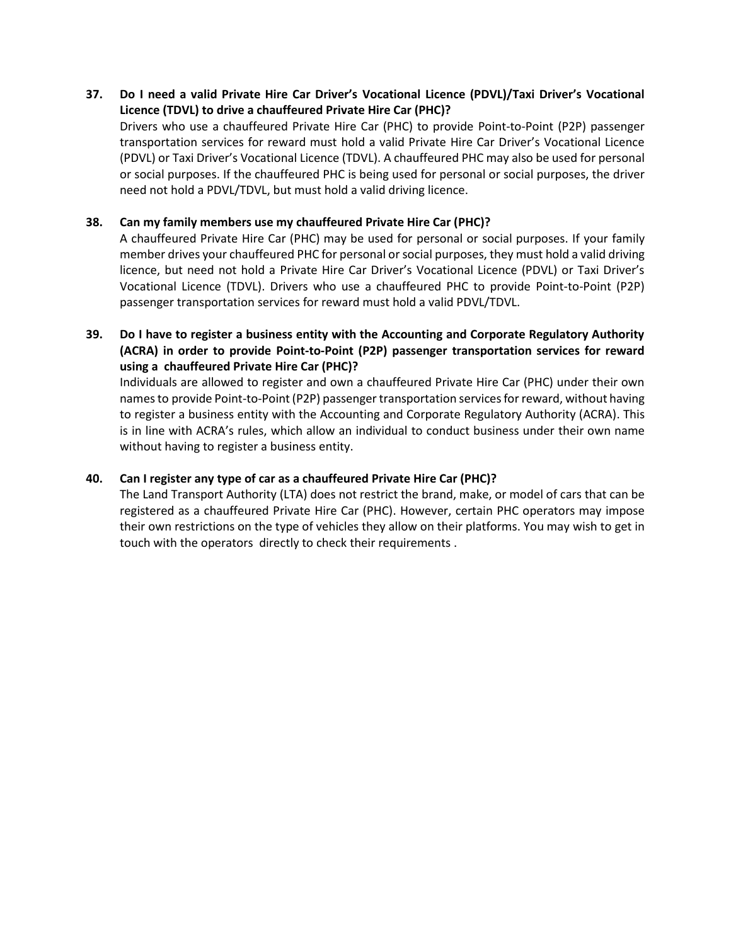#### **37. Do I need a valid Private Hire Car Driver's Vocational Licence (PDVL)/Taxi Driver's Vocational Licence (TDVL) to drive a chauffeured Private Hire Car (PHC)?**

Drivers who use a chauffeured Private Hire Car (PHC) to provide Point-to-Point (P2P) passenger transportation services for reward must hold a valid Private Hire Car Driver's Vocational Licence (PDVL) or Taxi Driver's Vocational Licence (TDVL). A chauffeured PHC may also be used for personal or social purposes. If the chauffeured PHC is being used for personal or social purposes, the driver need not hold a PDVL/TDVL, but must hold a valid driving licence.

#### **38. Can my family members use my chauffeured Private Hire Car (PHC)?**

A chauffeured Private Hire Car (PHC) may be used for personal or social purposes. If your family member drives your chauffeured PHC for personal or social purposes, they must hold a valid driving licence, but need not hold a Private Hire Car Driver's Vocational Licence (PDVL) or Taxi Driver's Vocational Licence (TDVL). Drivers who use a chauffeured PHC to provide Point-to-Point (P2P) passenger transportation services for reward must hold a valid PDVL/TDVL.

**39. Do I have to register a business entity with the Accounting and Corporate Regulatory Authority (ACRA) in order to provide Point-to-Point (P2P) passenger transportation services for reward using a chauffeured Private Hire Car (PHC)?**

Individuals are allowed to register and own a chauffeured Private Hire Car (PHC) under their own namesto provide Point-to-Point(P2P) passenger transportation services for reward, without having to register a business entity with the Accounting and Corporate Regulatory Authority (ACRA). This is in line with ACRA's rules, which allow an individual to conduct business under their own name without having to register a business entity.

#### **40. Can I register any type of car as a chauffeured Private Hire Car (PHC)?**

<span id="page-6-0"></span>The Land Transport Authority (LTA) does not restrict the brand, make, or model of cars that can be registered as a chauffeured Private Hire Car (PHC). However, certain PHC operators may impose their own restrictions on the type of vehicles they allow on their platforms. You may wish to get in touch with the operators directly to check their requirements .